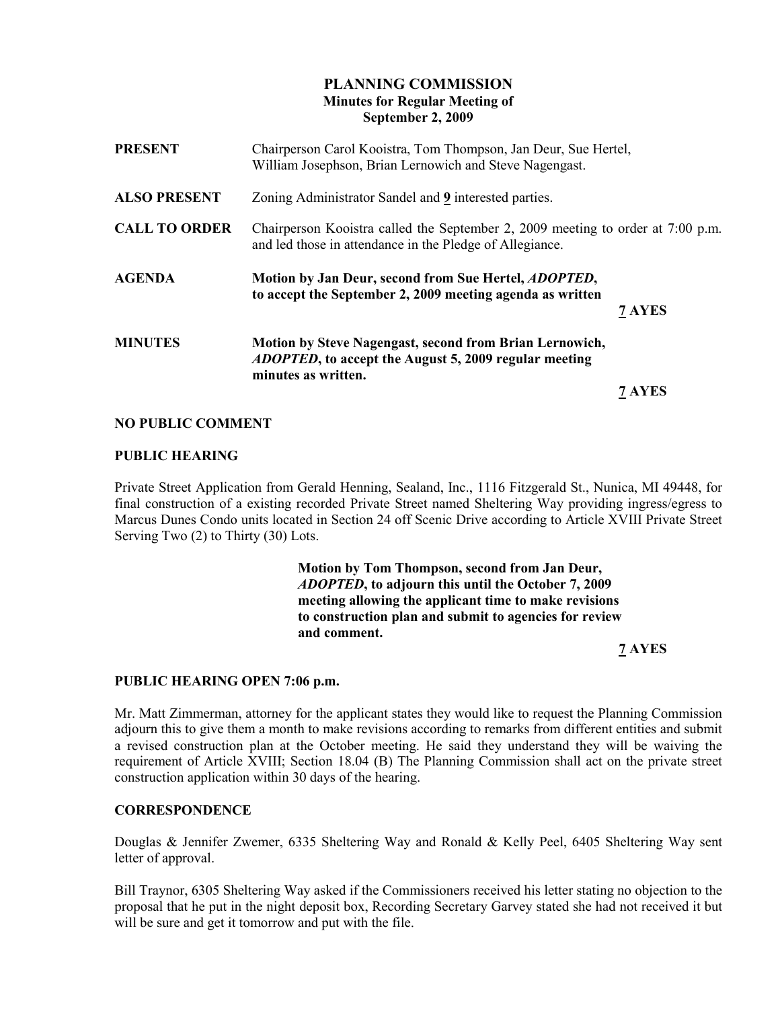# PLANNING COMMISSION Minutes for Regular Meeting of September 2, 2009

| <b>PRESENT</b>       | Chairperson Carol Kooistra, Tom Thompson, Jan Deur, Sue Hertel,<br>William Josephson, Brian Lernowich and Steve Nagengast.                      |        |
|----------------------|-------------------------------------------------------------------------------------------------------------------------------------------------|--------|
| <b>ALSO PRESENT</b>  | Zoning Administrator Sandel and 9 interested parties.                                                                                           |        |
| <b>CALL TO ORDER</b> | Chairperson Kooistra called the September 2, 2009 meeting to order at 7:00 p.m.<br>and led those in attendance in the Pledge of Allegiance.     |        |
| <b>AGENDA</b>        | Motion by Jan Deur, second from Sue Hertel, <i>ADOPTED</i> ,<br>to accept the September 2, 2009 meeting agenda as written                       | 7 AYES |
| <b>MINUTES</b>       | Motion by Steve Nagengast, second from Brian Lernowich,<br><i>ADOPTED</i> , to accept the August 5, 2009 regular meeting<br>minutes as written. |        |
|                      |                                                                                                                                                 | 7 AYES |

#### NO PUBLIC COMMENT

#### PUBLIC HEARING

Private Street Application from Gerald Henning, Sealand, Inc., 1116 Fitzgerald St., Nunica, MI 49448, for final construction of a existing recorded Private Street named Sheltering Way providing ingress/egress to Marcus Dunes Condo units located in Section 24 off Scenic Drive according to Article XVIII Private Street Serving Two (2) to Thirty (30) Lots.

> Motion by Tom Thompson, second from Jan Deur, ADOPTED, to adjourn this until the October 7, 2009 meeting allowing the applicant time to make revisions to construction plan and submit to agencies for review and comment.

7 AYES

#### PUBLIC HEARING OPEN 7:06 p.m.

Mr. Matt Zimmerman, attorney for the applicant states they would like to request the Planning Commission adjourn this to give them a month to make revisions according to remarks from different entities and submit a revised construction plan at the October meeting. He said they understand they will be waiving the requirement of Article XVIII; Section 18.04 (B) The Planning Commission shall act on the private street construction application within 30 days of the hearing.

#### **CORRESPONDENCE**

Douglas & Jennifer Zwemer, 6335 Sheltering Way and Ronald & Kelly Peel, 6405 Sheltering Way sent letter of approval.

Bill Traynor, 6305 Sheltering Way asked if the Commissioners received his letter stating no objection to the proposal that he put in the night deposit box, Recording Secretary Garvey stated she had not received it but will be sure and get it tomorrow and put with the file.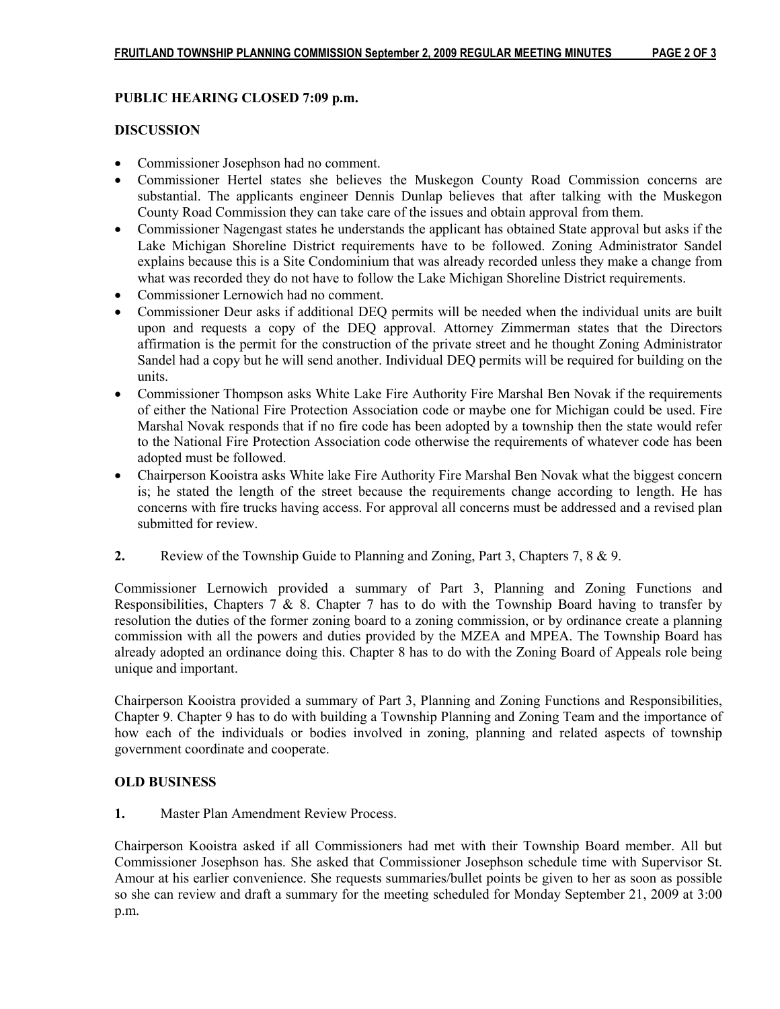# PUBLIC HEARING CLOSED 7:09 p.m.

## DISCUSSION

- Commissioner Josephson had no comment.
- Commissioner Hertel states she believes the Muskegon County Road Commission concerns are substantial. The applicants engineer Dennis Dunlap believes that after talking with the Muskegon County Road Commission they can take care of the issues and obtain approval from them.
- Commissioner Nagengast states he understands the applicant has obtained State approval but asks if the Lake Michigan Shoreline District requirements have to be followed. Zoning Administrator Sandel explains because this is a Site Condominium that was already recorded unless they make a change from what was recorded they do not have to follow the Lake Michigan Shoreline District requirements.
- Commissioner Lernowich had no comment.
- Commissioner Deur asks if additional DEO permits will be needed when the individual units are built upon and requests a copy of the DEQ approval. Attorney Zimmerman states that the Directors affirmation is the permit for the construction of the private street and he thought Zoning Administrator Sandel had a copy but he will send another. Individual DEQ permits will be required for building on the units.
- Commissioner Thompson asks White Lake Fire Authority Fire Marshal Ben Novak if the requirements of either the National Fire Protection Association code or maybe one for Michigan could be used. Fire Marshal Novak responds that if no fire code has been adopted by a township then the state would refer to the National Fire Protection Association code otherwise the requirements of whatever code has been adopted must be followed.
- Chairperson Kooistra asks White lake Fire Authority Fire Marshal Ben Novak what the biggest concern is; he stated the length of the street because the requirements change according to length. He has concerns with fire trucks having access. For approval all concerns must be addressed and a revised plan submitted for review.
- 2. Review of the Township Guide to Planning and Zoning, Part 3, Chapters 7, 8 & 9.

Commissioner Lernowich provided a summary of Part 3, Planning and Zoning Functions and Responsibilities, Chapters  $\overline{7} \& 8$ . Chapter 7 has to do with the Township Board having to transfer by resolution the duties of the former zoning board to a zoning commission, or by ordinance create a planning commission with all the powers and duties provided by the MZEA and MPEA. The Township Board has already adopted an ordinance doing this. Chapter 8 has to do with the Zoning Board of Appeals role being unique and important.

Chairperson Kooistra provided a summary of Part 3, Planning and Zoning Functions and Responsibilities, Chapter 9. Chapter 9 has to do with building a Township Planning and Zoning Team and the importance of how each of the individuals or bodies involved in zoning, planning and related aspects of township government coordinate and cooperate.

## OLD BUSINESS

1. Master Plan Amendment Review Process.

Chairperson Kooistra asked if all Commissioners had met with their Township Board member. All but Commissioner Josephson has. She asked that Commissioner Josephson schedule time with Supervisor St. Amour at his earlier convenience. She requests summaries/bullet points be given to her as soon as possible so she can review and draft a summary for the meeting scheduled for Monday September 21, 2009 at 3:00 p.m.